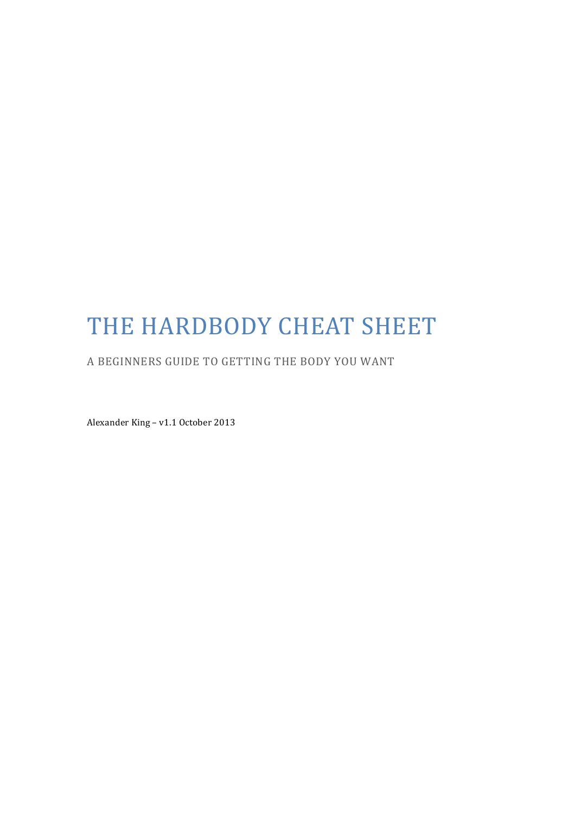# THE HARDBODY CHEAT SHEET

A BEGINNERS GUIDE TO GETTING THE BODY YOU WANT

Alexander King - v1.1 October 2013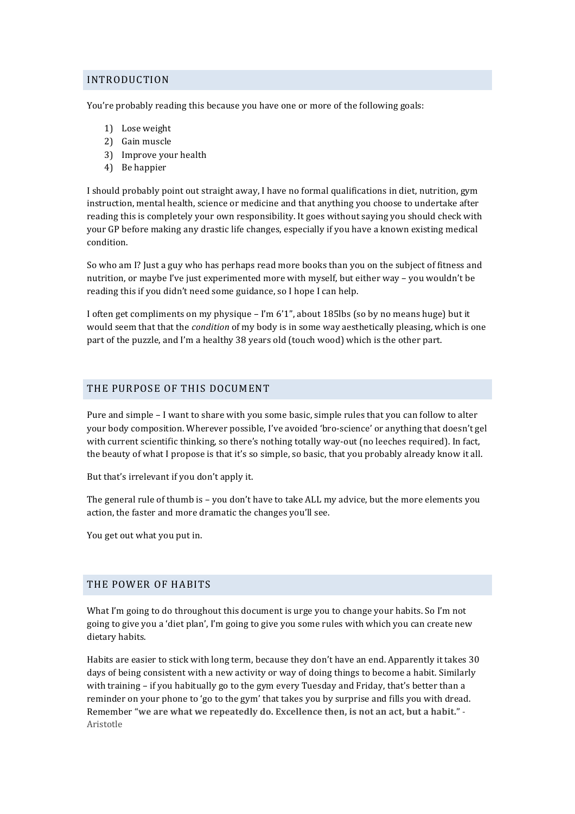## INTRODUCTION

You're probably reading this because you have one or more of the following goals:

- 1) Lose weight
- 2) Gain muscle
- 3) Improve your health
- 4) Be happier

I should probably point out straight away. I have no formal qualifications in diet, nutrition, gym instruction, mental health, science or medicine and that anything you choose to undertake after reading this is completely your own responsibility. It goes without saying you should check with your GP before making any drastic life changes, especially if you have a known existing medical condition.

So who am I? Just a guy who has perhaps read more books than you on the subject of fitness and nutrition, or maybe I've just experimented more with myself, but either way – you wouldn't be reading this if you didn't need some guidance, so I hope I can help.

I often get compliments on my physique – I'm  $6'1''$ , about 185lbs (so by no means huge) but it would seem that that the *condition* of my body is in some way aesthetically pleasing, which is one part of the puzzle, and I'm a healthy 38 years old (touch wood) which is the other part.

## THE PURPOSE OF THIS DOCUMENT

Pure and simple - I want to share with you some basic, simple rules that you can follow to alter your body composition. Wherever possible, I've avoided 'bro-science' or anything that doesn't gel with current scientific thinking, so there's nothing totally way-out (no leeches required). In fact, the beauty of what I propose is that it's so simple, so basic, that you probably already know it all.

But that's irrelevant if you don't apply it.

The general rule of thumb is - you don't have to take ALL my advice, but the more elements you action, the faster and more dramatic the changes you'll see.

You get out what you put in.

#### THE POWER OF HABITS

What I'm going to do throughout this document is urge you to change your habits. So I'm not going to give you a 'diet plan', I'm going to give you some rules with which you can create new dietary habits.

Habits are easier to stick with long term, because they don't have an end. Apparently it takes 30 days of being consistent with a new activity or way of doing things to become a habit. Similarly with training  $-$  if you habitually go to the gym every Tuesday and Friday, that's better than a reminder on your phone to 'go to the gym' that takes you by surprise and fills you with dread. Remember "we are what we repeatedly do. Excellence then, is not an act, but a habit." -Aristotle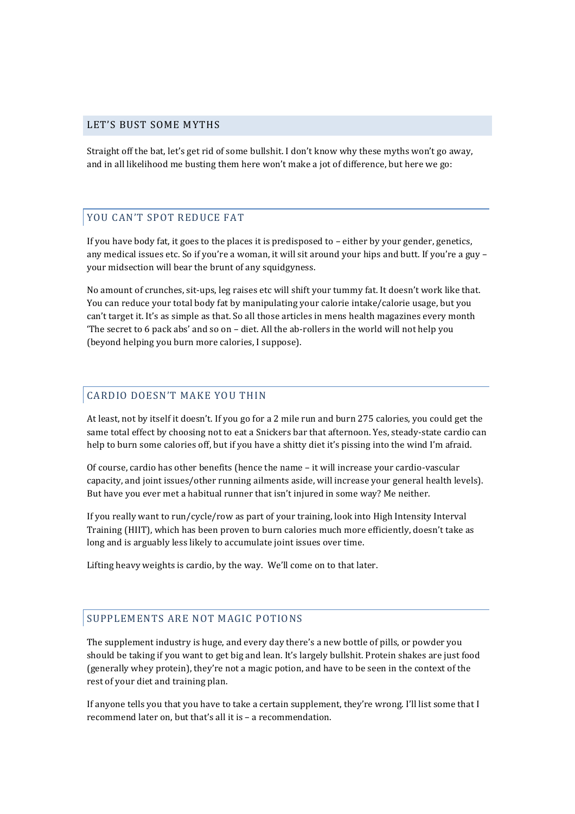#### LET'S BUST SOME MYTHS

Straight off the bat, let's get rid of some bullshit. I don't know why these myths won't go away, and in all likelihood me busting them here won't make a jot of difference, but here we go:

## YOU CAN'T SPOT REDUCE FAT

If you have body fat, it goes to the places it is predisposed to  $-$  either by your gender, genetics, any medical issues etc. So if you're a woman, it will sit around your hips and butt. If you're a guy – your midsection will bear the brunt of any squidgyness.

No amount of crunches, sit-ups, leg raises etc will shift your tummy fat. It doesn't work like that. You can reduce your total body fat by manipulating your calorie intake/calorie usage, but you can't target it. It's as simple as that. So all those articles in mens health magazines every month The secret to  $6$  pack abs' and so on  $-$  diet. All the ab-rollers in the world will not help you (beyond helping you burn more calories, I suppose).

## CARDIO DOESN'T MAKE YOU THIN

At least, not by itself it doesn't. If you go for a 2 mile run and burn 275 calories, you could get the same total effect by choosing not to eat a Snickers bar that afternoon. Yes, steady-state cardio can help to burn some calories off, but if you have a shitty diet it's pissing into the wind I'm afraid.

Of course, cardio has other benefits (hence the name – it will increase your cardio-vascular capacity, and joint issues/other running ailments aside, will increase your general health levels). But have you ever met a habitual runner that isn't injured in some way? Me neither.

If you really want to run/cycle/row as part of your training, look into High Intensity Interval Training (HIIT), which has been proven to burn calories much more efficiently, doesn't take as long and is arguably less likely to accumulate joint issues over time.

Lifting heavy weights is cardio, by the way. We'll come on to that later.

## SUPPLEMENTS ARE NOT MAGIC POTIONS

The supplement industry is huge, and every day there's a new bottle of pills, or powder you should be taking if you want to get big and lean. It's largely bullshit. Protein shakes are just food (generally whey protein), they're not a magic potion, and have to be seen in the context of the rest of your diet and training plan.

If anyone tells you that you have to take a certain supplement, they're wrong. I'll list some that I recommend later on, but that's all it is - a recommendation.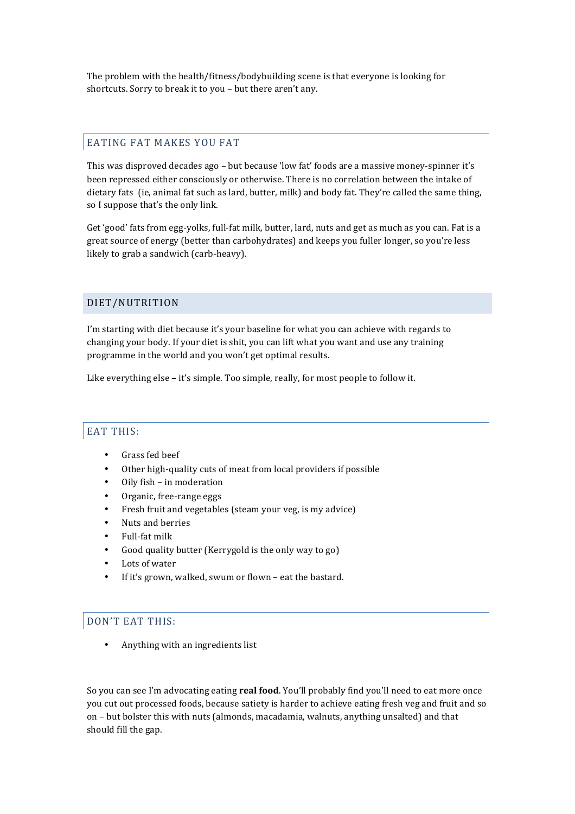The problem with the health/fitness/bodybuilding scene is that everyone is looking for shortcuts. Sorry to break it to you - but there aren't any.

## EATING FAT MAKES YOU FAT

This was disproved decades ago – but because 'low fat' foods are a massive money-spinner it's been repressed either consciously or otherwise. There is no correlation between the intake of dietary fats (ie, animal fat such as lard, butter, milk) and body fat. They're called the same thing, so I suppose that's the only link.

Get 'good' fats from egg-yolks, full-fat milk, butter, lard, nuts and get as much as you can. Fat is a great source of energy (better than carbohydrates) and keeps you fuller longer, so you're less likely to grab a sandwich (carb-heavy).

## DIET/NUTRITION

I'm starting with diet because it's your baseline for what you can achieve with regards to changing your body. If your diet is shit, you can lift what you want and use any training programme in the world and you won't get optimal results.

Like everything else - it's simple. Too simple, really, for most people to follow it.

# EAT THIS:

- Grass fed beef
- Other high-quality cuts of meat from local providers if possible
- Oily fish in moderation
- Organic, free-range eggs
- Fresh fruit and vegetables (steam your veg, is my advice)
- Nuts and berries
- Full-fat milk
- Good quality butter (Kerrygold is the only way to go)
- Lots of water
- If it's grown, walked, swum or flown eat the bastard.

# DON'T EAT THIS:

Anything with an ingredients list

So you can see I'm advocating eating **real food**. You'll probably find you'll need to eat more once you cut out processed foods, because satiety is harder to achieve eating fresh veg and fruit and so on – but bolster this with nuts (almonds, macadamia, walnuts, anything unsalted) and that should fill the gap.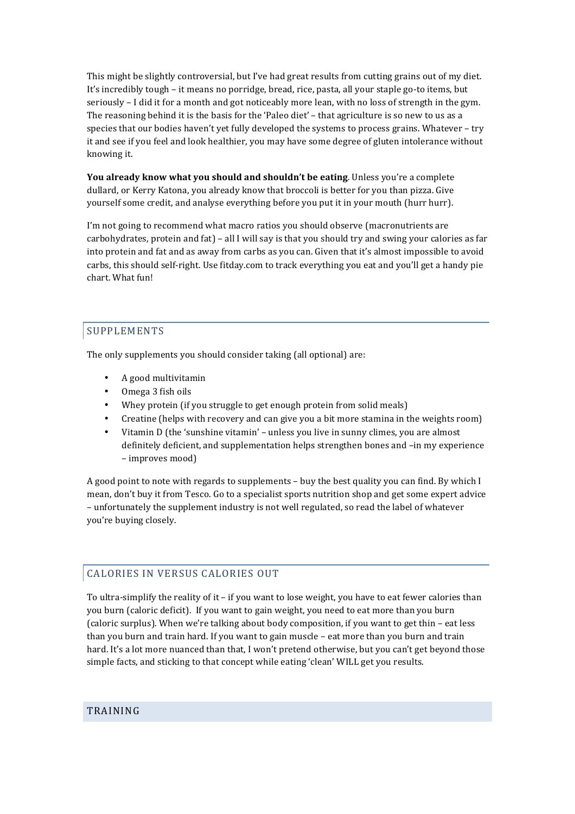This might be slightly controversial, but I've had great results from cutting grains out of my diet. It's incredibly tough – it means no porridge, bread, rice, pasta, all your staple go-to items, but seriously  $-1$  did it for a month and got noticeably more lean, with no loss of strength in the gym. The reasoning behind it is the basis for the 'Paleo diet' – that agriculture is so new to us as a species that our bodies haven't yet fully developed the systems to process grains. Whatever - try it and see if you feel and look healthier, you may have some degree of gluten intolerance without knowing it.

**You already know what you should and shouldn't be eating**. Unless you're a complete dullard, or Kerry Katona, you already know that broccoli is better for you than pizza. Give yourself some credit, and analyse everything before you put it in your mouth (hurr hurr).

I'm not going to recommend what macro ratios you should observe (macronutrients are carbohydrates, protein and fat) – all I will say is that you should try and swing your calories as far into protein and fat and as away from carbs as you can. Given that it's almost impossible to avoid carbs, this should self-right. Use fitday.com to track everything you eat and you'll get a handy pie chart. What fun!

# SUPPLEMENTS

The only supplements you should consider taking (all optional) are:

- A good multivitamin
- Omega 3 fish oils
- Whey protein (if you struggle to get enough protein from solid meals)
- Creatine (helps with recovery and can give you a bit more stamina in the weights room)
- Vitamin D (the 'sunshine vitamin' unless you live in sunny climes, you are almost definitely deficient, and supplementation helps strengthen bones and -in my experience – improves mood)

A good point to note with regards to supplements - buy the best quality you can find. By which I mean, don't buy it from Tesco. Go to a specialist sports nutrition shop and get some expert advice – unfortunately the supplement industry is not well regulated, so read the label of whatever you're buying closely.

# CALORIES IN VERSUS CALORIES OUT

To ultra-simplify the reality of it - if you want to lose weight, you have to eat fewer calories than you burn (caloric deficit). If you want to gain weight, you need to eat more than you burn (caloric surplus). When we're talking about body composition, if you want to get thin – eat less than you burn and train hard. If you want to gain muscle - eat more than you burn and train hard. It's a lot more nuanced than that, I won't pretend otherwise, but you can't get beyond those simple facts, and sticking to that concept while eating 'clean' WILL get you results.

#### TRAINING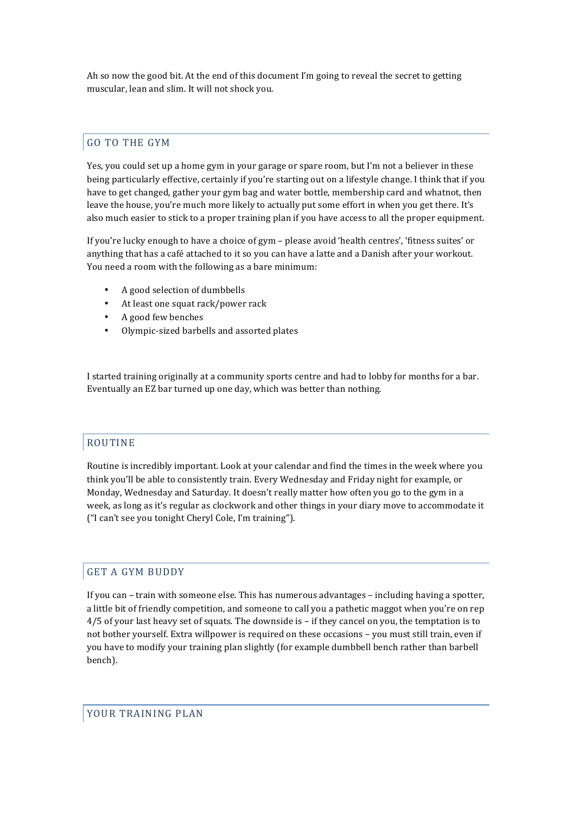Ah so now the good bit. At the end of this document I'm going to reveal the secret to getting muscular, lean and slim. It will not shock you.

# GO TO THE GYM

Yes, you could set up a home gym in your garage or spare room, but I'm not a believer in these being particularly effective, certainly if you're starting out on a lifestyle change. I think that if you have to get changed, gather your gym bag and water bottle, membership card and whatnot, then leave the house, you're much more likely to actually put some effort in when you get there. It's also much easier to stick to a proper training plan if you have access to all the proper equipment.

If you're lucky enough to have a choice of gym – please avoid 'health centres', 'fitness suites' or anything that has a café attached to it so you can have a latte and a Danish after your workout. You need a room with the following as a bare minimum:

- A good selection of dumbbells
- At least one squat rack/power rack
- A good few benches
- Olympic-sized barbells and assorted plates

I started training originally at a community sports centre and had to lobby for months for a bar. Eventually an EZ bar turned up one day, which was better than nothing.

#### ROUTINE

Routine is incredibly important. Look at your calendar and find the times in the week where you think you'll be able to consistently train. Every Wednesday and Friday night for example, or Monday, Wednesday and Saturday. It doesn't really matter how often you go to the gym in a week, as long as it's regular as clockwork and other things in your diary move to accommodate it ("I can't see you tonight Cheryl Cole, I'm training").

#### **GET A GYM BUDDY**

If you can – train with someone else. This has numerous advantages – including having a spotter, a little bit of friendly competition, and someone to call you a pathetic maggot when you're on rep  $4/5$  of your last heavy set of squats. The downside is – if they cancel on you, the temptation is to not bother yourself. Extra willpower is required on these occasions - you must still train, even if you have to modify your training plan slightly (for example dumbbell bench rather than barbell bench).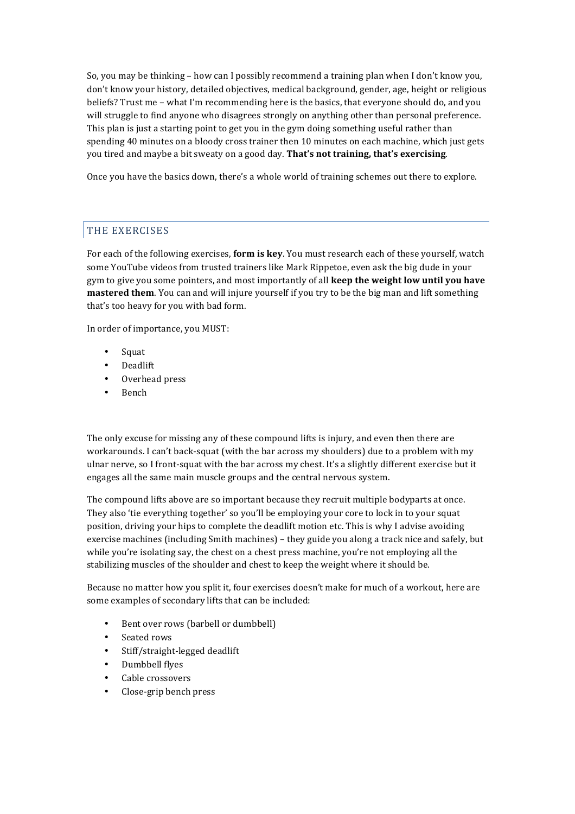So, you may be thinking – how can I possibly recommend a training plan when I don't know you, don't know your history, detailed objectives, medical background, gender, age, height or religious beliefs? Trust me – what I'm recommending here is the basics, that everyone should do, and you will struggle to find anyone who disagrees strongly on anything other than personal preference. This plan is just a starting point to get you in the gym doing something useful rather than spending 40 minutes on a bloody cross trainer then 10 minutes on each machine, which just gets you tired and maybe a bit sweaty on a good day. **That's not training, that's exercising**.

Once you have the basics down, there's a whole world of training schemes out there to explore.

# THE EXERCISES

For each of the following exercises, **form is key**. You must research each of these yourself, watch some YouTube videos from trusted trainers like Mark Rippetoe, even ask the big dude in your gym to give you some pointers, and most importantly of all **keep the weight low until you have mastered them**. You can and will injure yourself if you try to be the big man and lift something that's too heavy for you with bad form.

In order of importance, you MUST:

- Squat
- Deadlift
- Overhead press
- Bench

The only excuse for missing any of these compound lifts is injury, and even then there are workarounds. I can't back-squat (with the bar across my shoulders) due to a problem with my ulnar nerve, so I front-squat with the bar across my chest. It's a slightly different exercise but it engages all the same main muscle groups and the central nervous system.

The compound lifts above are so important because they recruit multiple bodyparts at once. They also 'tie everything together' so you'll be employing your core to lock in to your squat position, driving your hips to complete the deadlift motion etc. This is why I advise avoiding exercise machines (including Smith machines) – they guide you along a track nice and safely, but while you're isolating say, the chest on a chest press machine, you're not employing all the stabilizing muscles of the shoulder and chest to keep the weight where it should be.

Because no matter how you split it, four exercises doesn't make for much of a workout, here are some examples of secondary lifts that can be included:

- Bent over rows (barbell or dumbbell)
- Seated rows
- Stiff/straight-legged deadlift
- Dumbbell flyes
- Cable crossovers
- Close-grip bench press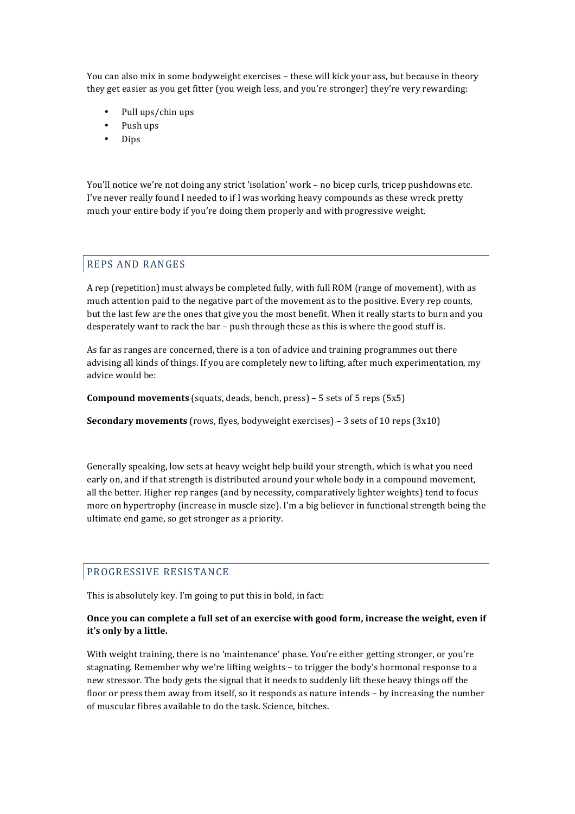You can also mix in some bodyweight exercises – these will kick your ass, but because in theory they get easier as you get fitter (you weigh less, and you're stronger) they're very rewarding:

- Pull ups/chin ups
- Push ups
- Dips

You'll notice we're not doing any strict 'isolation' work - no bicep curls, tricep pushdowns etc. I've never really found I needed to if I was working heavy compounds as these wreck pretty much your entire body if you're doing them properly and with progressive weight.

## REPS AND RANGES

A rep (repetition) must always be completed fully, with full ROM (range of movement), with as much attention paid to the negative part of the movement as to the positive. Every rep counts, but the last few are the ones that give you the most benefit. When it really starts to burn and you desperately want to rack the bar  $-$  push through these as this is where the good stuff is.

As far as ranges are concerned, there is a ton of advice and training programmes out there advising all kinds of things. If you are completely new to lifting, after much experimentation, my advice would be:

**Compound movements** (squats, deads, bench, press) – 5 sets of 5 reps (5x5)

**Secondary movements** (rows, flyes, bodyweight exercises) – 3 sets of 10 reps (3x10)

Generally speaking, low sets at heavy weight help build your strength, which is what you need early on, and if that strength is distributed around your whole body in a compound movement, all the better. Higher rep ranges (and by necessity, comparatively lighter weights) tend to focus more on hypertrophy (increase in muscle size). I'm a big believer in functional strength being the ultimate end game, so get stronger as a priority.

## PROGRESSIVE RESISTANCE

This is absolutely key. I'm going to put this in bold, in fact:

#### Once you can complete a full set of an exercise with good form, increase the weight, even if it's only by a little.

With weight training, there is no 'maintenance' phase. You're either getting stronger, or you're stagnating. Remember why we're lifting weights – to trigger the body's hormonal response to a new stressor. The body gets the signal that it needs to suddenly lift these heavy things off the floor or press them away from itself, so it responds as nature intends – by increasing the number of muscular fibres available to do the task. Science, bitches.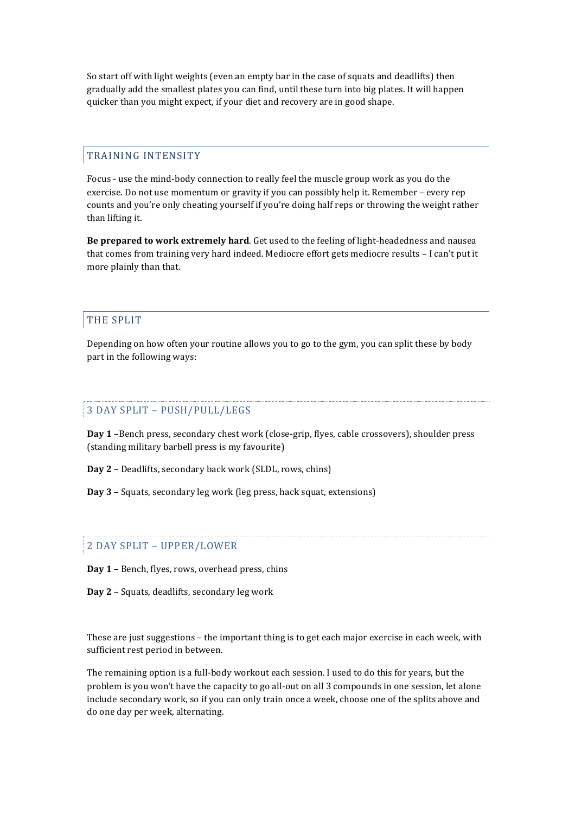So start off with light weights (even an empty bar in the case of squats and deadlifts) then gradually add the smallest plates you can find, until these turn into big plates. It will happen quicker than you might expect, if your diet and recovery are in good shape.

# TRAINING INTENSITY

Focus - use the mind-body connection to really feel the muscle group work as you do the exercise. Do not use momentum or gravity if you can possibly help it. Remember – every rep counts and you're only cheating yourself if you're doing half reps or throwing the weight rather than lifting it.

**Be prepared to work extremely hard**. Get used to the feeling of light-headedness and nausea that comes from training very hard indeed. Mediocre effort gets mediocre results - I can't put it more plainly than that.

## **THE SPLIT**

Depending on how often your routine allows you to go to the gym, you can split these by body part in the following ways:

# 3 DAY SPLIT - PUSH/PULL/LEGS

Day 1 -Bench press, secondary chest work (close-grip, flyes, cable crossovers), shoulder press (standing military barbell press is my favourite)

**Day 2** - Deadlifts, secondary back work (SLDL, rows, chins)

**Day** 3 – Squats, secondary leg work (leg press, hack squat, extensions)

## 2 DAY SPLIT - UPPER/LOWER

- **Day 1** Bench, flyes, rows, overhead press, chins
- **Day 2** Squats, deadlifts, secondary leg work

These are just suggestions  $-$  the important thing is to get each major exercise in each week, with sufficient rest period in between.

The remaining option is a full-body workout each session. I used to do this for years, but the problem is you won't have the capacity to go all-out on all 3 compounds in one session, let alone include secondary work, so if you can only train once a week, choose one of the splits above and do one day per week, alternating.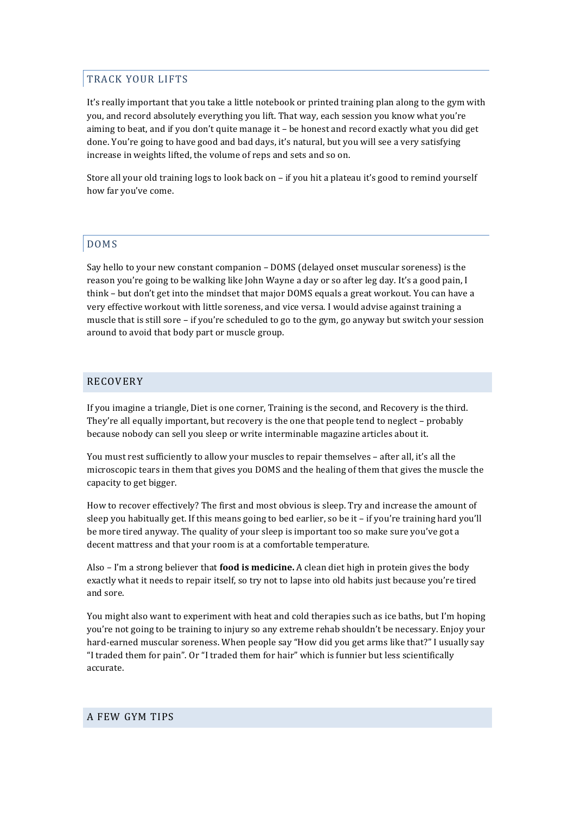# TRACK YOUR LIFTS

It's really important that you take a little notebook or printed training plan along to the gym with you, and record absolutely everything you lift. That way, each session you know what you're aiming to beat, and if you don't quite manage it – be honest and record exactly what you did get done. You're going to have good and bad days, it's natural, but you will see a very satisfying increase in weights lifted, the volume of reps and sets and so on.

Store all your old training logs to look back on – if you hit a plateau it's good to remind yourself how far you've come.

## DOMS

Say hello to your new constant companion  $-$  DOMS (delayed onset muscular soreness) is the reason you're going to be walking like John Wayne a day or so after leg day. It's a good pain, I think – but don't get into the mindset that major DOMS equals a great workout. You can have a very effective workout with little soreness, and vice versa. I would advise against training a muscle that is still sore – if you're scheduled to go to the gym, go anyway but switch your session around to avoid that body part or muscle group.

## RECOVERY

If you imagine a triangle, Diet is one corner, Training is the second, and Recovery is the third. They're all equally important, but recovery is the one that people tend to neglect – probably because nobody can sell you sleep or write interminable magazine articles about it.

You must rest sufficiently to allow your muscles to repair themselves - after all, it's all the microscopic tears in them that gives you DOMS and the healing of them that gives the muscle the capacity to get bigger.

How to recover effectively? The first and most obvious is sleep. Try and increase the amount of sleep you habitually get. If this means going to bed earlier, so be it - if you're training hard you'll be more tired anyway. The quality of your sleep is important too so make sure you've got a decent mattress and that your room is at a comfortable temperature.

Also – I'm a strong believer that **food is medicine.** A clean diet high in protein gives the body exactly what it needs to repair itself, so try not to lapse into old habits just because you're tired and sore.

You might also want to experiment with heat and cold therapies such as ice baths, but I'm hoping you're not going to be training to injury so any extreme rehab shouldn't be necessary. Enjoy your hard-earned muscular soreness. When people say "How did you get arms like that?" I usually say "I traded them for pain". Or "I traded them for hair" which is funnier but less scientifically accurate.

#### A FEW GYM TIPS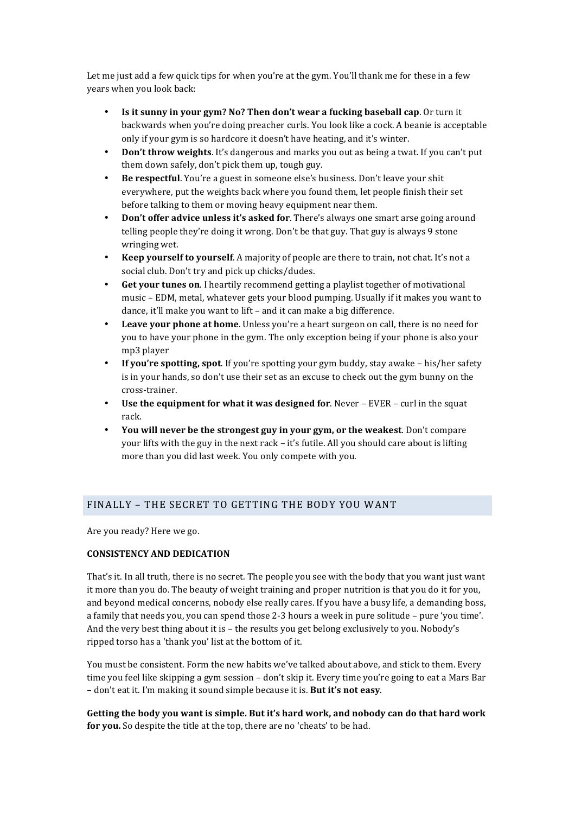Let me just add a few quick tips for when you're at the gym. You'll thank me for these in a few years when you look back:

- **Is it sunny in your gym? No? Then don't wear a fucking baseball cap**. Or turn it backwards when you're doing preacher curls. You look like a cock. A beanie is acceptable only if your gym is so hardcore it doesn't have heating, and it's winter.
- **Don't throw weights**. It's dangerous and marks you out as being a twat. If you can't put them down safely, don't pick them up, tough guy.
- **Be respectful**. You're a guest in someone else's business. Don't leave your shit everywhere, put the weights back where you found them, let people finish their set before talking to them or moving heavy equipment near them.
- **Don't offer advice unless it's asked for**. There's always one smart arse going around telling people they're doing it wrong. Don't be that guy. That guy is always 9 stone wringing wet.
- **Keep yourself to yourself.** A majority of people are there to train, not chat. It's not a social club. Don't try and pick up chicks/dudes.
- **Get your tunes on**. I heartily recommend getting a playlist together of motivational music - EDM, metal, whatever gets your blood pumping. Usually if it makes you want to dance, it'll make you want to lift - and it can make a big difference.
- **Leave your phone at home**. Unless you're a heart surgeon on call, there is no need for you to have your phone in the gym. The only exception being if your phone is also your mp3 player
- **If you're spotting, spot**. If you're spotting your gym buddy, stay awake his/her safety is in your hands, so don't use their set as an excuse to check out the gym bunny on the cross-trainer.
- Use the equipment for what it was designed for. Never EVER curl in the squat rack.
- You will never be the strongest guy in your gym, or the weakest. Don't compare your lifts with the guy in the next rack - it's futile. All you should care about is lifting more than you did last week. You only compete with you.

# FINALLY - THE SECRET TO GETTING THE BODY YOU WANT

Are you ready? Here we go.

#### **CONSISTENCY AND DEDICATION**

That's it. In all truth, there is no secret. The people you see with the body that you want just want it more than you do. The beauty of weight training and proper nutrition is that you do it for you, and beyond medical concerns, nobody else really cares. If you have a busy life, a demanding boss, a family that needs you, you can spend those 2-3 hours a week in pure solitude – pure 'you time'. And the very best thing about it is  $-$  the results you get belong exclusively to you. Nobody's ripped torso has a 'thank you' list at the bottom of it.

You must be consistent. Form the new habits we've talked about above, and stick to them. Every time you feel like skipping a gym session – don't skip it. Every time you're going to eat a Mars Bar - don't eat it. I'm making it sound simple because it is. But it's not easy.

Getting the body you want is simple. But it's hard work, and nobody can do that hard work **for you.** So despite the title at the top, there are no 'cheats' to be had.